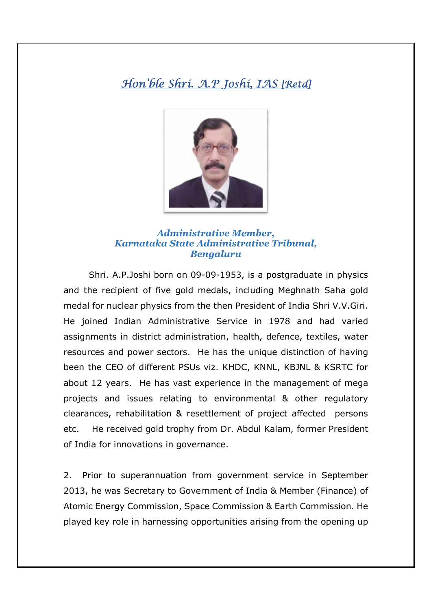## Hon'ble Shri. A.P Joshi, I.AS [Retd]



## *Administrative Member, Karnataka State Administrative Tribunal, Bengaluru*

Shri. A.P.Joshi born on 09-09-1953, is a postgraduate in physics and the recipient of five gold medals, including Meghnath Saha gold medal for nuclear physics from the then President of India Shri V.V.Giri. He joined Indian Administrative Service in 1978 and had varied assignments in district administration, health, defence, textiles, water resources and power sectors. He has the unique distinction of having been the CEO of different PSUs viz. KHDC, KNNL, KBJNL & KSRTC for about 12 years. He has vast experience in the management of mega projects and issues relating to environmental & other regulatory clearances, rehabilitation & resettlement of project affected persons etc. He received gold trophy from Dr. Abdul Kalam, former President of India for innovations in governance.

2. Prior to superannuation from government service in September 2013, he was Secretary to Government of India & Member (Finance) of Atomic Energy Commission, Space Commission & Earth Commission. He played key role in harnessing opportunities arising from the opening up